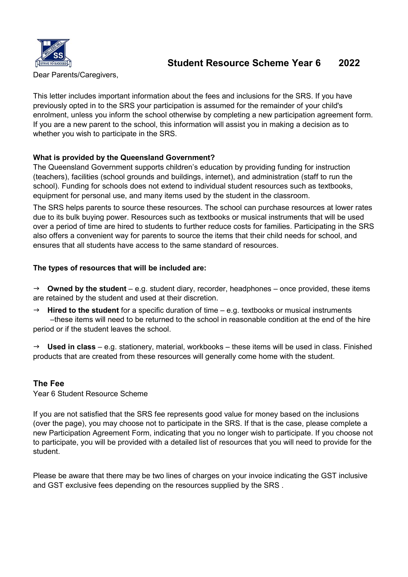

# Student Resource Scheme Year 6 2022

Dear Parents/Caregivers,

This letter includes important information about the fees and inclusions for the SRS. If you have previously opted in to the SRS your participation is assumed for the remainder of your child's enrolment, unless you inform the school otherwise by completing a new participation agreement form. If you are a new parent to the school, this information will assist you in making a decision as to whether you wish to participate in the SRS.

### What is provided by the Queensland Government?

The Queensland Government supports children's education by providing funding for instruction (teachers), facilities (school grounds and buildings, internet), and administration (staff to run the school). Funding for schools does not extend to individual student resources such as textbooks, equipment for personal use, and many items used by the student in the classroom.

The SRS helps parents to source these resources. The school can purchase resources at lower rates due to its bulk buying power. Resources such as textbooks or musical instruments that will be used over a period of time are hired to students to further reduce costs for families. Participating in the SRS also offers a convenient way for parents to source the items that their child needs for school, and ensures that all students have access to the same standard of resources.

#### The types of resources that will be included are:

 $\rightarrow$  Owned by the student – e.g. student diary, recorder, headphones – once provided, these items are retained by the student and used at their discretion.

 $\rightarrow$  Hired to the student for a specific duration of time – e.g. textbooks or musical instruments –these items will need to be returned to the school in reasonable condition at the end of the hire period or if the student leaves the school.

 $\rightarrow$  Used in class – e.g. stationery, material, workbooks – these items will be used in class. Finished products that are created from these resources will generally come home with the student.

### The Fee

Year 6 Student Resource Scheme

If you are not satisfied that the SRS fee represents good value for money based on the inclusions (over the page), you may choose not to participate in the SRS. If that is the case, please complete a new Participation Agreement Form, indicating that you no longer wish to participate. If you choose not to participate, you will be provided with a detailed list of resources that you will need to provide for the student.

Please be aware that there may be two lines of charges on your invoice indicating the GST inclusive and GST exclusive fees depending on the resources supplied by the SRS .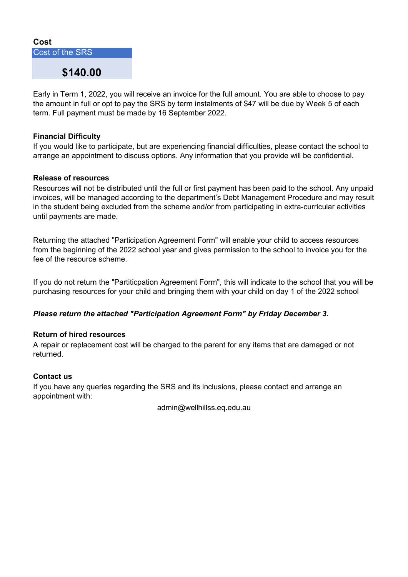### Cost

Cost of the SRS

## \$140.00

Early in Term 1, 2022, you will receive an invoice for the full amount. You are able to choose to pay the amount in full or opt to pay the SRS by term instalments of \$47 will be due by Week 5 of each term. Full payment must be made by 16 September 2022.

### Financial Difficulty

If you would like to participate, but are experiencing financial difficulties, please contact the school to arrange an appointment to discuss options. Any information that you provide will be confidential.

#### Release of resources

Resources will not be distributed until the full or first payment has been paid to the school. Any unpaid invoices, will be managed according to the department's Debt Management Procedure and may result in the student being excluded from the scheme and/or from participating in extra-curricular activities until payments are made.

Returning the attached "Participation Agreement Form" will enable your child to access resources from the beginning of the 2022 school year and gives permission to the school to invoice you for the fee of the resource scheme.

If you do not return the "Partiticpation Agreement Form", this will indicate to the school that you will be purchasing resources for your child and bringing them with your child on day 1 of the 2022 school

### Please return the attached "Participation Agreement Form" by Friday December 3.

#### Return of hired resources

A repair or replacement cost will be charged to the parent for any items that are damaged or not returned.

#### Contact us

If you have any queries regarding the SRS and its inclusions, please contact and arrange an appointment with:

admin@wellhillss.eq.edu.au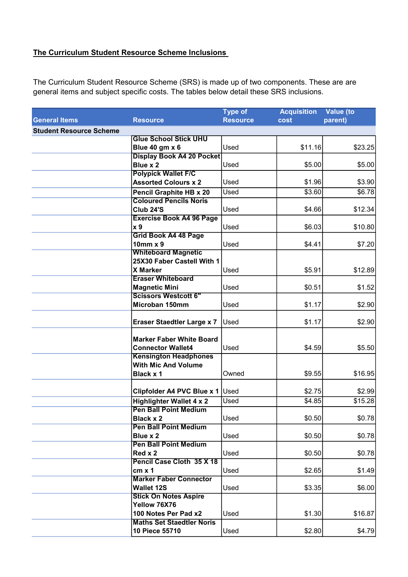## The Curriculum Student Resource Scheme Inclusions

The Curriculum Student Resource Scheme (SRS) is made up of two components. These are are general items and subject specific costs. The tables below detail these SRS inclusions.

|                                |                                   | <b>Type of</b>  | <b>Acquisition</b> | Value (to |
|--------------------------------|-----------------------------------|-----------------|--------------------|-----------|
| <b>General Items</b>           | <b>Resource</b>                   | <b>Resource</b> | cost               | parent)   |
| <b>Student Resource Scheme</b> |                                   |                 |                    |           |
|                                | <b>Glue School Stick UHU</b>      |                 |                    |           |
|                                | Blue 40 gm x 6                    | Used            | \$11.16            | \$23.25   |
|                                | <b>Display Book A4 20 Pocket</b>  |                 |                    |           |
|                                | Blue x 2                          | Used            | \$5.00             | \$5.00    |
|                                | <b>Polypick Wallet F/C</b>        |                 |                    |           |
|                                | <b>Assorted Colours x 2</b>       | Used            | \$1.96             | \$3.90    |
|                                | <b>Pencil Graphite HB x 20</b>    | Used            | \$3.60             | \$6.78    |
|                                | <b>Coloured Pencils Noris</b>     |                 |                    |           |
|                                | <b>Club 24'S</b>                  | Used            | \$4.66             | \$12.34   |
|                                | <b>Exercise Book A4 96 Page</b>   |                 |                    |           |
|                                | x 9                               | Used            | \$6.03             | \$10.80   |
|                                | Grid Book A4 48 Page              |                 |                    |           |
|                                | $10mm \times 9$                   | Used            | \$4.41             | \$7.20    |
|                                | <b>Whiteboard Magnetic</b>        |                 |                    |           |
|                                | 25X30 Faber Castell With 1        |                 |                    |           |
|                                | <b>X Marker</b>                   | Used            | \$5.91             | \$12.89   |
|                                | <b>Eraser Whiteboard</b>          |                 |                    |           |
|                                | <b>Magnetic Mini</b>              | Used            | \$0.51             | \$1.52    |
|                                | <b>Scissors Westcott 6"</b>       |                 |                    |           |
|                                | Microban 150mm                    | Used            | \$1.17             | \$2.90    |
|                                | <b>Eraser Staedtler Large x 7</b> | Used            | \$1.17             | \$2.90    |
|                                |                                   |                 |                    |           |
|                                | <b>Marker Faber White Board</b>   |                 |                    |           |
|                                | <b>Connector Wallet4</b>          | Used            | \$4.59             | \$5.50    |
|                                | <b>Kensington Headphones</b>      |                 |                    |           |
|                                | <b>With Mic And Volume</b>        |                 |                    |           |
|                                | Black x 1                         | Owned           | \$9.55             | \$16.95   |
|                                | Clipfolder A4 PVC Blue x 1 Used   |                 | \$2.75             | \$2.99    |
|                                | <b>Highlighter Wallet 4 x 2</b>   | Used            | \$4.85             | \$15.28   |
|                                | <b>Pen Ball Point Medium</b>      |                 |                    |           |
|                                | <b>Black x 2</b>                  | Used            | \$0.50             | \$0.78]   |
|                                | <b>Pen Ball Point Medium</b>      |                 |                    |           |
|                                | Blue x 2                          | Used            | \$0.50             | \$0.78]   |
|                                | <b>Pen Ball Point Medium</b>      |                 |                    |           |
|                                | Red x 2                           | Used            | \$0.50             | \$0.78]   |
|                                | Pencil Case Cloth 35 X 18         |                 |                    |           |
|                                | $cm \times 1$                     | Used            | \$2.65             | \$1.49    |
|                                | <b>Marker Faber Connector</b>     |                 |                    |           |
|                                | <b>Wallet 12S</b>                 | Used            | \$3.35             | \$6.00    |
|                                | <b>Stick On Notes Aspire</b>      |                 |                    |           |
|                                | Yellow 76X76                      |                 |                    |           |
|                                | 100 Notes Per Pad x2              | Used            | \$1.30             | \$16.87   |
|                                | <b>Maths Set Staedtler Noris</b>  |                 |                    |           |
|                                | 10 Piece 55710                    | Used            | \$2.80             | \$4.79    |